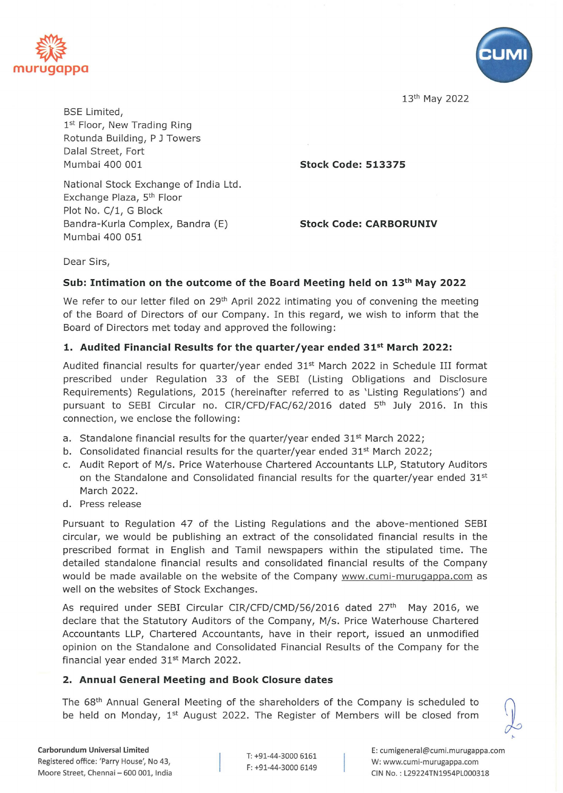



13th May 2022

BSE Limited, 1st Floor, New Trading Ring Rotunda Building, P J Towers Dalal Street, Fort Mumbai 400 001

**Stock Code: 513375** 

National Stock Exchange of India Ltd. Exchange Plaza, 5<sup>th</sup> Floor Plot No. C/1, G Block Bandra-Kurla Complex, Bandra (E) Mumbai 400 051

**Stock Code: CARBORUNIV** 

Dear Sirs,

#### **Sub: Intimation on the outcome of the Board Meeting held on** 13th **May 2022**

We refer to our letter filed on 29<sup>th</sup> April 2022 intimating you of convening the meeting of the Board of Directors of our Company. In this regard, we wish to inform that the Board of Directors met today and approved the following:

## **1. Audited Financial Results for the quarter/year ended** 315t **March 2022:**

Audited financial results for quarter/year ended 31<sup>st</sup> March 2022 in Schedule III format prescribed under Regulation 33 of the SEBI (Listing Obligations and Disclosure Requirements) Regulations, 2015 (hereinafter referred to as 'Listing Regulations') and pursuant to SEBI Circular no. CIR/CFD/FAC/62/2016 dated 5<sup>th</sup> July 2016. In this connection, we enclose the following:

- a. Standalone financial results for the quarter/year ended  $31<sup>st</sup>$  March 2022;
- b. Consolidated financial results for the quarter/year ended  $31^{st}$  March 2022;
- c. Audit Report of M/s. Price Waterhouse Chartered Accountants LLP, Statutory Auditors on the Standalone and Consolidated financial results for the quarter/year ended  $31<sup>st</sup>$ March 2022.
- d. Press release

Pursuant to Regulation 47 of the Listing Regulations and the above-mentioned SEBI circular, we would be publishing an extract of the consolidated financial results in the prescribed format in English and Tamil newspapers within the stipulated time. The detailed standalone financial results and consolidated financial results of the Company would be made available on the website of the Company www.cumi-muruqappa.com as well on the websites of Stock Exchanges.

As required under SEBI Circular CIR/CFD/CMD/56/2016 dated 27<sup>th</sup> May 2016, we declare that the Statutory Auditors of the Company, M/s. Price Waterhouse Chartered Accountants LLP, Chartered Accountants, have in their report, issued an unmodified opinion on the Standalone and Consolidated Financial Results of the Company for the financial year ended 31<sup>st</sup> March 2022.

#### **2. Annual General Meeting and Book Closure dates**

The  $68<sup>th</sup>$  Annual General Meeting of the shareholders of the Company is scheduled to be held on Monday,  $1<sup>st</sup>$  August 2022. The Register of Members will be closed from